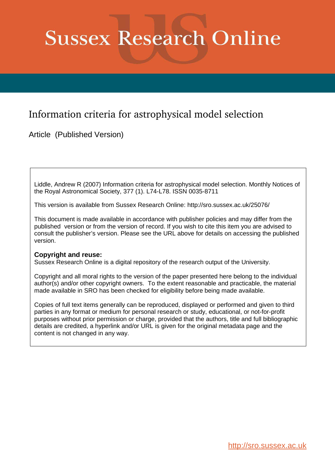# **Sussex Research Online**

# Information criteria for astrophysical model selection

Article (Published Version)

Liddle, Andrew R (2007) Information criteria for astrophysical model selection. Monthly Notices of the Royal Astronomical Society, 377 (1). L74-L78. ISSN 0035-8711

This version is available from Sussex Research Online: http://sro.sussex.ac.uk/25076/

This document is made available in accordance with publisher policies and may differ from the published version or from the version of record. If you wish to cite this item you are advised to consult the publisher's version. Please see the URL above for details on accessing the published version.

### **Copyright and reuse:**

Sussex Research Online is a digital repository of the research output of the University.

Copyright and all moral rights to the version of the paper presented here belong to the individual author(s) and/or other copyright owners. To the extent reasonable and practicable, the material made available in SRO has been checked for eligibility before being made available.

Copies of full text items generally can be reproduced, displayed or performed and given to third parties in any format or medium for personal research or study, educational, or not-for-profit purposes without prior permission or charge, provided that the authors, title and full bibliographic details are credited, a hyperlink and/or URL is given for the original metadata page and the content is not changed in any way.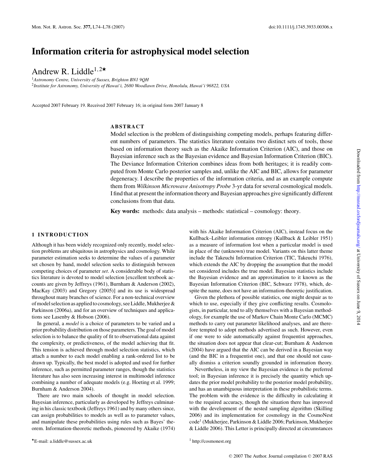## **Information criteria for astrophysical model selection**

Andrew R. Liddle<sup>1,2★</sup>

<sup>1</sup>*Astronomy Centre, University of Sussex, Brighton BN1 9QH* 2 *Institute for Astronomy, University of Hawai'i, 2680 Woodlawn Drive, Honolulu, Hawai'i 96822, USA*

Accepted 2007 February 19. Received 2007 February 16; in original form 2007 January 8

#### **ABSTRACT**

Model selection is the problem of distinguishing competing models, perhaps featuring different numbers of parameters. The statistics literature contains two distinct sets of tools, those based on information theory such as the Akaike Information Criterion (AIC), and those on Bayesian inference such as the Bayesian evidence and Bayesian Information Criterion (BIC). The Deviance Information Criterion combines ideas from both heritages; it is readily computed from Monte Carlo posterior samples and, unlike the AIC and BIC, allows for parameter degeneracy. I describe the properties of the information criteria, and as an example compute them from *Wilkinson Microwave Anisotropy Probe* 3-yr data for several cosmological models. I find that at present the information theory and Bayesian approaches give significantly different conclusions from that data.

**Key words:** methods: data analysis – methods: statistical – cosmology: theory.

#### **1 INTRODUCTION**

Although it has been widely recognized only recently, model selection problems are ubiquitous in astrophysics and cosmology. While parameter estimation seeks to determine the values of a parameter set chosen by hand, model selection seeks to distinguish between competing choices of parameter *set*. A considerable body of statistics literature is devoted to model selection [excellent textbook accounts are given by Jeffreys (1961), Burnham & Anderson (2002), MacKay (2003) and Gregory (2005)] and its use is widespread throughout many branches of science. For a non-technical overview of model selection as applied to cosmology, see Liddle, Mukherjee & Parkinson (2006a), and for an overview of techniques and applications see Lasenby & Hobson (2006).

In general, a *model* is a choice of parameters to be varied and a prior probability distribution on those parameters. The goal of model selection is to balance the quality of fit to observational data against the complexity, or predictiveness, of the model achieving that fit. This tension is achieved through model selection statistics, which attach a number to each model enabling a rank-ordered list to be drawn up. Typically, the best model is adopted and used for further inference, such as permitted parameter ranges, though the statistics literature has also seen increasing interest in multimodel inference combining a number of adequate models (e.g. Hoeting et al. 1999; Burnham & Anderson 2004).

There are two main schools of thought in model selection. Bayesian inference, particularly as developed by Jeffreys culminating in his classic textbook (Jeffreys 1961) and by many others since, can assign probabilities to models as well as to parameter values, and manipulate these probabilities using rules such as Bayes' theorem. Information-theoretic methods, pioneered by Akaike (1974) with his Akaike Information Criterion (AIC), instead focus on the Kullback–Leibler information entropy (Kullback & Leibler 1951) as a measure of information lost when a particular model is used in place of the (unknown) true model. Variants on this latter theme include the Takeuchi Information Criterion (TIC, Takeuchi 1976), which extends the AIC by dropping the assumption that the model set considered includes the true model. Bayesian statistics include the Bayesian evidence and an approximation to it known as the Bayesian Information Criterion (BIC, Schwarz 1978), which, despite the name, does not have an information-theoretic justification.

Given the plethora of possible statistics, one might despair as to which to use, especially if they give conflicting results. Cosmologists, in particular, tend to ally themselves with a Bayesian methodology, for example the use of Markov Chain Monte Carlo (MCMC) methods to carry out parameter likelihood analyses, and are therefore tempted to adopt methods advertised as such. However, even if one were to side automatically against frequentist approaches, the situation does not appear that clear-cut; Burnham & Anderson (2004) have argued that the AIC can be derived in a Bayesian way (and the BIC in a frequentist one), and that one should not casually dismiss a criterion soundly grounded in information theory.

Nevertheless, in my view the Bayesian evidence is the preferred tool; in Bayesian inference it is precisely the quantity which updates the prior model probability to the posterior model probability, and has an unambiguous interpretation in these probabilistic terms. The problem with the evidence is the difficulty in calculating it to the required accuracy, though the situation there has improved with the development of the nested sampling algorithm (Skilling 2006) and its implementation for cosmology in the CosmoNest code<sup>1</sup> (Mukherjee, Parkinson & Liddle 2006; Parkinson, Mukherjee & Liddle 2006). This Letter is principally directed at circumstances

Downloaded from http://mnrasl.oxfordjournals.org/ at University of Sussex on June 9, 2014 Downloaded from <http://mnrasl.oxfordjournals.org/> at University of Sussex on June 9, 2014

<sup>1</sup> http://cosmonest.org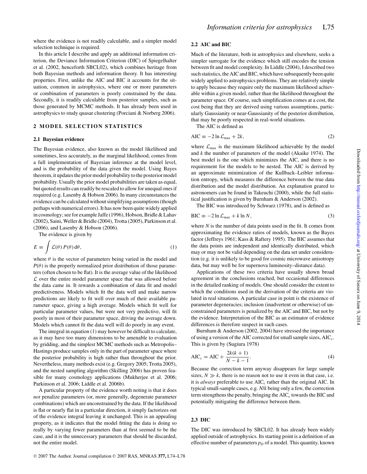where the evidence is not readily calculable, and a simpler model selection technique is required.

In this article I describe and apply an additional information criterion, the Deviance Information Criterion (DIC) of Spiegelhalter et al. (2002, henceforth SBCL02), which combines heritage from both Bayesian methods and information theory. It has interesting properties. First, unlike the AIC and BIC it accounts for the situation, common in astrophysics, where one or more parameters or combination of parameters is poorly constrained by the data. Secondly, it is readily calculable from posterior samples, such as those generated by MCMC methods. It has already been used in astrophysics to study quasar clustering (Porciani & Norberg 2006).

#### **2 MODEL SELECTION STATISTICS**

#### **2.1 Bayesian evidence**

The Bayesian evidence, also known as the model likelihood and sometimes, less accurately, as the marginal likelihood, comes from a full implementation of Bayesian inference at the model level, and is the probability of the data given the model. Using Bayes theorem, it updates the prior model probability to the posterior model probability. Usually the prior model probabilities are taken as equal, but quoted results can readily be rescaled to allow for unequal ones if required (e.g. Lasenby & Hobson 2006). In many circumstances the evidence can be calculated without simplifying assumptions (though perhaps with numerical errors). It has now been quite widely applied in cosmology; see for example Jaffe (1996), Hobson, Bridle & Lahav (2002), Saini, Weller & Bridle (2004), Trotta (2005), Parkinson et al. (2006), and Lasenby & Hobson (2006).

The evidence is given by

$$
E \equiv \int \mathcal{L}(\theta) \, P(\theta) \, \mathrm{d}\theta,\tag{1}
$$

where  $\theta$  is the vector of parameters being varied in the model and  $P(\theta)$  is the properly normalized prior distribution of those parameters (often chosen to be flat). It is the average value of the likelihood  $\mathcal L$  over the entire model parameter space that was allowed before the data came in. It rewards a combination of data fit and model predictiveness. Models which fit the data well and make narrow predictions are likely to fit well over much of their available parameter space, giving a high average. Models which fit well for particular parameter values, but were not very predictive, will fit poorly in most of their parameter space, driving the average down. Models which cannot fit the data well will do poorly in any event.

The integral in equation (1) may however be difficult to calculate, as it may have too many dimensions to be amenable to evaluation by gridding, and the simplest MCMC methods such as Metropolis– Hastings produce samples only in the part of parameter space where the posterior probability is high rather than throughout the prior. Nevertheless, many methods exist (e.g. Gregory 2005; Trotta 2005), and the nested sampling algorithm (Skilling 2006) has proven feasible for many cosmology applications (Mukherjee et al. 2006; Parkinson et al. 2006; Liddle et al. 2006b).

A particular property of the evidence worth noting is that it does *not* penalize parameters (or, more generally, degenerate parameter combinations) which are unconstrained by the data. If the likelihood is flat or nearly flat in a particular direction, it simply factorizes out of the evidence integral leaving it unchanged. This is an appealing property, as it indicates that the model fitting the data is doing so really by varying fewer parameters than at first seemed to be the case, and it is the unnecessary parameters that should be discarded, not the entire model.

Much of the literature, both in astrophysics and elsewhere, seeks a simpler surrogate for the evidence which still encodes the tension between fit and model complexity. In Liddle (2004), I described two such statistics, the AIC and BIC, which have subsequently been quite widely applied to astrophysics problems. They are relatively simple to apply because they require only the maximum likelihood achievable within a given model, rather than the likelihood throughout the parameter space. Of course, such simplification comes at a cost, the cost being that they are derived using various assumptions, particularly Gaussianity or near-Gaussianity of the posterior distribution, that may be poorly respected in real-world situations.

The AIC is defined as

$$
AIC \equiv -2 \ln \mathcal{L}_{\text{max}} + 2k,\tag{2}
$$

where  $\mathcal{L}_{\text{max}}$  is the maximum likelihood achievable by the model and *k* the number of parameters of the model (Akaike 1974). The best model is the one which minimizes the AIC, and there is no requirement for the models to be nested. The AIC is derived by an approximate minimization of the Kullback–Leibler information entropy, which measures the difference between the true data distribution and the model distribution. An explanation geared to astronomers can be found in Takeuchi (2000), while the full statistical justification is given by Burnham & Anderson (2002).

The BIC was introduced by Schwarz (1978), and is defined as

$$
BIC \equiv -2 \ln \mathcal{L}_{\text{max}} + k \ln N, \tag{3}
$$

where *N* is the number of data points used in the fit. It comes from approximating the evidence ratios of models, known as the Bayes factor (Jeffreys 1961; Kass & Raftery 1995). The BIC assumes that the data points are independent and identically distributed, which may or may not be valid depending on the data set under consideration (e.g. it is unlikely to be good for cosmic microwave anisotropy data, but may well be for supernova luminosity–distance data).

Applications of these two criteria have usually shown broad agreement in the conclusions reached, but occasional differences in the detailed ranking of models. One should consider the extent to which the conditions used in the derivation of the criteria are violated in real situations. A particular case in point is the existence of parameter degeneracies; inclusion (inadvertent or otherwise) of unconstrained parameters is penalized by the AIC and BIC, but not by the evidence. Interpretation of the BIC as an estimator of evidence differences is therefore suspect in such cases.

Burnham & Anderson (2002, 2004) have stressed the importance of using a version of the AIC corrected for small sample sizes,  $AIC_c$ . This is given by (Sugiura 1978)

$$
AIC_c = AIC + \frac{2k(k+1)}{N - k - 1}.
$$
 (4)

Because the correction term anyway disappears for large sample sizes,  $N \gg k$ , there is no reason not to use it even in that case, i.e. it is *always* preferable to use AIC<sub>c</sub> rather than the original AIC. In typical small-sample cases, e.g. *N*/*k* being only a few, the correction term strengthens the penalty, bringing the  $AIC_c$  towards the BIC and potentially mitigating the difference between them.

#### **2.3 DIC**

The DIC was introduced by SBCL02. It has already been widely applied outside of astrophysics. Its starting point is a definition of an effective number of parameters  $p_D$  of a model. This quantity, known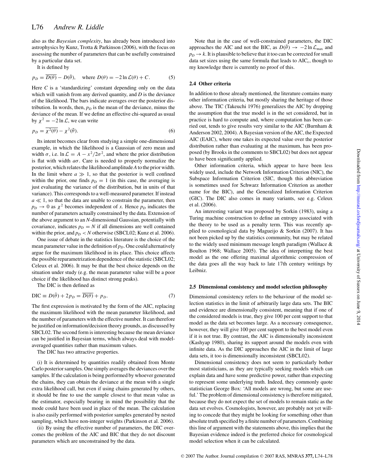also as the *Bayesian complexity*, has already been introduced into astrophysics by Kunz, Trotta & Parkinson (2006), with the focus on assessing the number of parameters that can be usefully constrained by a particular data set.

It is defined by

$$
p_D = \overline{D(\theta)} - D(\overline{\theta}), \quad \text{where } D(\theta) = -2\ln \mathcal{L}(\theta) + C. \tag{5}
$$

Here *C* is a 'standardizing' constant depending only on the data which will vanish from any derived quantity, and *D* is the deviance of the likelihood. The bars indicate averages over the posterior distribution. In words, then,  $p<sub>D</sub>$  is the mean of the deviance, minus the deviance of the mean. If we define an effective chi-squared as usual by  $\chi^2 = -2 \ln \mathcal{L}$ , we can write

$$
p_D = \overline{\chi^2(\theta)} - \chi^2(\overline{\theta}).\tag{6}
$$

Its intent becomes clear from studying a simple one-dimensional example, in which the likelihood is a Gaussian of zero mean and width  $\sigma$ , i.e.  $\ln \mathcal{L} = A - x^2/2\sigma^2$ , and where the prior distribution is flat with width *a*σ. Care is needed to properly normalize the posterior, which relates the likelihood amplitude*A*to the prior width. In the limit where  $a \gg 1$ , so that the posterior is well confined within the prior, one finds  $p_D = 1$  (in this case, the averaging is just evaluating the variance of the distribution, but in units of that variance). This corresponds to a well-measured parameter. If instead  $a \ll 1$ , so that the data are unable to constrain the parameter, then  $p_D \rightarrow 0$  as  $\chi^2$  becomes independent of *x*. Hence  $p_D$  indicates the number of parameters actually constrained by the data. Extension of the above argument to an *N*-dimensional Gaussian, potentially with covariance, indicates  $p_D = N$  if all dimensions are well contained within the prior, and  $p_D < N$  otherwise (SBCL02; Kunz et al. 2006).

One issue of debate in the statistics literature is the choice of the mean parameter value in the definition of  $p<sub>D</sub>$ . One could alternatively argue for the maximum likelihood in its place. This choice affects the possible reparametrization dependence of the statistic (SBCL02; Celeux et al. 2006). It may be that the best choice depends on the situation under study (e.g. the mean parameter value will be a poor choice if the likelihood has distinct strong peaks).

The DIC is then defined as

$$
DIC \equiv D(\bar{\theta}) + 2p_D = \overline{D(\theta)} + p_D.
$$
 (7)

The first expression is motivated by the form of the AIC, replacing the maximum likelihood with the mean parameter likelihood, and the number of parameters with the effective number. It can therefore be justified on information/decision theory grounds, as discussed by SBCL02. The second form is interesting because the mean deviance can be justified in Bayesian terms, which always deal with modelaveraged quantities rather than maximum values.

The DIC has two attractive properties.

(i) It is determined by quantities readily obtained from Monte Carlo posterior samples. One simply averages the deviances over the samples. If the calculation is being performed by whoever generated the chains, they can obtain the deviance at the mean with a single extra likelihood call, but even if using chains generated by others, it should be fine to use the sample closest to that mean value as the estimator, especially bearing in mind the possibility that the mode could have been used in place of the mean. The calculation is also easily performed with posterior samples generated by nested sampling, which have non-integer weights (Parkinson et al. 2006).

(ii) By using the effective number of parameters, the DIC overcomes the problem of the AIC and BIC that they do not discount parameters which are unconstrained by the data.

Note that in the case of well-constrained parameters, the DIC approaches the AIC and not the BIC, as  $D(\bar{\theta}) \rightarrow -2 \ln \mathcal{L}_{\text{max}}$  and  $p_D \rightarrow k$ . It is plausible to believe that it too can be corrected for small data set sizes using the same formula that leads to  $AIC_c$ , though to my knowledge there is currently no proof of this.

#### **2.4 Other criteria**

In addition to those already mentioned, the literature contains many other information criteria, but mostly sharing the heritage of those above. The TIC (Takeuchi 1976) generalizes the AIC by dropping the assumption that the true model is in the set considered, but in practice is hard to compute and, where computation has been carried out, tends to give results very similar to the AIC (Burnham & Anderson 2002, 2004). A Bayesian version of the AIC, the Expected AIC (EAIC), where one takes its expected value over the posterior distribution rather than evaluating at the maximum, has been proposed (by Brooks in the comments to SBCL02) but does not appear to have been significantly applied.

Other information criteria, which appear to have been less widely used, include the Network Information Criterion (NIC), the Subspace Information Criterion (SIC, though this abbreviation is sometimes used for Schwarz Information Criterion as another name for the BIC), and the Generalized Information Criterion (GIC). The DIC also comes in many variants, see e.g. Celeux et al. (2006).

An interesting variant was proposed by Sorkin (1983), using a Turing machine construction to define an entropy associated with the theory to be used as a penalty term. This was recently applied to cosmological data by Magueijo & Sorkin (2007). It has not been picked up by the statistics community, but may be related to the widely used minimum message length paradigm (Wallace & Boulton 1968; Wallace 2005). The idea of interpetting the best model as the one offering maximal algorithmic compression of the data goes all the way back to late 17th century writings by Leibniz.

#### **2.5 Dimensional consistency and model selection philosophy**

Dimensional consistency refers to the behaviour of the model selection statistics in the limit of arbitrarily large data sets. The BIC and evidence are dimensionally consistent, meaning that if one of the considered models is true, they give 100 per cent support to that model as the data set becomes large. As a necessary consequence, however, they will give 100 per cent support to the best model even if it is not true. By contrast, the AIC is dimensionally inconsistent (Kashyap 1980), sharing its support around the models even with infinite data. As the DIC approaches the AIC in the limit of large data sets, it too is dimensionally inconsistent (SBCL02).

Dimensional consistency does not seem to particularly bother most statisticians, as they are typically seeking models which can explain data and have some predictive power, rather than expecting to represent some underlying truth. Indeed, they commonly quote statistician George Box: 'All models are wrong, but some are useful.' The problem of dimensional consistency is therefore mitigated, because they do not expect the set of models to remain static as the data set evolves. Cosmologists, however, are probably not yet willing to concede that they might be looking for something other than absolute truth specified by a finite number of parameters. Combining this line of argument with the statements above, this implies that the Bayesian evidence indeed is the preferred choice for cosmological model selection when it can be calculated.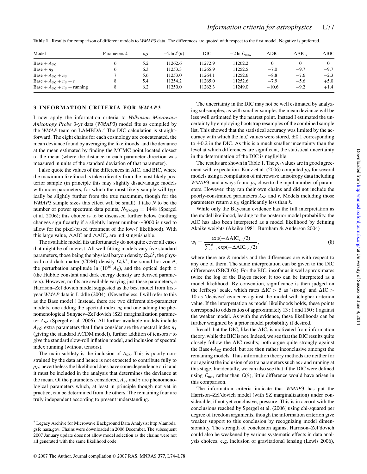| Model                             | Parameters k | $p_D$ | $-2 \ln \mathcal{L}(\bar{\theta})$ | DIC     | $-2 \ln \mathcal{L}_{\text{max}}$ | $\triangle DIC$ | $\triangle$ AIC <sub>c</sub> | $\triangle BIC$ |
|-----------------------------------|--------------|-------|------------------------------------|---------|-----------------------------------|-----------------|------------------------------|-----------------|
| $Base + ASZ$                      | h            | 5.2   | 11262.6                            | 11272.9 | 11262.2                           |                 |                              |                 |
| Base + $n_S$                      | 6            | 6.3   | 11253.3                            | 11265.9 | 11252.5                           | $-7.0$          | $-9.7$                       | $-9.7$          |
| Base + $A_{SZ}$ + $n_S$           |              | 5.6   | 11253.0                            | 11264.1 | 11252.6                           | $-8.8$          | $-7.6$                       | $-2.3$          |
| Base + $A_{SZ}$ + $n_S$ + $r$     | 8            | 5.4   | 11254.2                            | 11265.0 | 11252.6                           | $-7.9$          | $-5.6$                       | $+5.0$          |
| Base + $A_{SZ}$ + $n_S$ + running | 8            | 6.2   | 11250.0                            | 11262.3 | 11249.0                           | $-10.6$         | $-9.2$                       | $+1.4$          |

Table 1. Results for comparison of different models to *WMAP*3 data. The differences are quoted with respect to the first model. Negative is preferred.

#### **3 INFORMATION CRITERIA FOR** *WMAP***3**

I now apply the information criteria to *Wilkinson Microwave Anisotropy Probe* 3-yr data (*WMAP*3) model fits as compiled by the *WMAP* team on LAMBDA.<sup>2</sup> The DIC calculation is straightforward. The eight chains for each cosmology are concatenated, the mean deviance found by averaging the likelihoods, and the deviance at the mean estimated by finding the MCMC point located closest to the mean (where the distance in each parameter direction was measured in units of the standard deviation of that parameter).

I also quote the values of the differences in  $AIC_c$  and BIC, where the maximum likelihood is taken directly from the most likely posterior sample (in principle this may slightly disadvantage models with more parameters, for which the most likely sample will typically be slightly further from the true maximum, though for the *WMAP*3 sample sizes this effect will be small). I take *N* to be the number of power spectrum data points,  $N_{WMAP3} = 1448$  (Spergel et al. 2006); this choice is to be discussed further below (nothing changes significantly if a slightly larger number ∼3000 is used to allow for the pixel-based treatment of the low-ℓ likelihood). With this large value,  $\triangle AIC$  and  $\triangle AIC_c$  are indistinguishable.

The available model fits unfortunately do not quite cover all cases that might be of interest. All well-fitting models vary five standard parameters, those being the physical baryon density  $\Omega_b h^2$ , the physical cold dark matter (CDM) density  $\Omega_c h^2$ , the sound horizon  $\theta$ , the perturbation amplitude ln (10<sup>10</sup>  $A<sub>S</sub>$ ), and the optical depth  $\tau$ (the Hubble constant and dark energy density are derived parameters). However, no fits are available varying just these parameters, a Harrison–Zel'dovich model suggested as the best model from firstyear *WMAP* data in Liddle (2004). (Nevertheless, I will refer to this as the Base model.) Instead, there are two different six-parameter models, one adding the spectral index  $n<sub>S</sub>$  and one adding the phenomenological Sunyaev–Zel'dovich (SZ) marginalization parameter  $A_{SZ}$  (Spergel et al. 2006). All further available models include  $A_{SZ}$ ; extra parameters that I then consider are the spectral index  $n<sub>S</sub>$ (giving the standard CDM model), further addition of tensors *r* to give the standard slow-roll inflation model, and inclusion of spectral index running (without tensors).

The main subtlety is the inclusion of  $A_{SZ}$ . This is poorly constrained by the data and hence is not expected to contribute fully to *pD*; nevertheless the likelihood does have some dependence on it and it must be included in the analysis that determines the deviance at the mean. Of the parameters considered,  $A_{SZ}$  and  $\tau$  are phenomenological parameters which, at least in principle though not yet in practice, can be determined from the others. The remaining four are truly independent according to present understanding.

The uncertainty in the DIC may not be well estimated by analyzing subsamples, as with smaller samples the mean deviance will be less well estimated by the nearest point. Instead I estimated the uncertainty by employing bootstrap resamples of the combined sample list. This showed that the statistical accuracy was limited by the accuracy with which the ln  $\mathcal L$  values were stored,  $\pm 0.1$  corresponding to  $\pm 0.2$  in the DIC. As this is a much smaller uncertainty than the level at which differences are significant, the statistical uncertainty in the determination of the DIC is negligible.

The results are shown in Table 1. The  $p<sub>D</sub>$  values are in good agreement with expectation. Kunz et al.  $(2006)$  computed  $p<sub>D</sub>$  for several models using a compilation of microwave anisotropy data including *WMAP*3, and always found  $p<sub>D</sub>$  close to the input number of parameters. However, they ran their own chains and did not include the poorly-constrained parameters  $A_{SZ}$  and  $r$ . Models including those parameters return a *p<sup>D</sup>* significantly less than *k*.

While only the Bayesian evidence has the full interpretation as the model likelihood, leading to the posterior model probability, the AIC has also been interpreted as a model likelihood by defining Akaike weights (Akaike 1981; Burnham & Anderson 2004)

$$
w_i = \frac{\exp(-\Delta \text{AIC}_{c,i}/2)}{\sum_{r=1}^{R} \exp(-\Delta \text{AIC}_{c,r}/2)},
$$
\n(8)

where there are *R* models and the differences are with respect to any one of them. The same interpretation can be given to the DIC differences (SBCL02). For the BIC, insofar as it well approximates twice the log of the Bayes factor, it too can be interpreted as a model likelihood. By convention, significance is then judged on the Jeffreys' scale, which rates  $\Delta IC > 5$  as 'strong' and  $\Delta IC >$ 10 as 'decisive' evidence against the model with higher criterion value. If the interpretation as model likelihoods holds, these points correspond to odds ratios of approximately 13 : 1 and 150 : 1 against the weaker model. As with the evidence, these likelihoods can be further weighted by a prior model probability if desired.

Recall that the DIC, like the AIC, is motivated from information theory, while the BIC is not. Indeed, we see that the DIC results quite closely follow the AIC results; both argue quite strongly against the Base $+A_{SZ}$  model, but are then rather inconclusive amongst the remaining models. Thus information theory methods are neither for nor against the inclusion of extra parameters such as*r* and running at this stage. Incidentally, we can also see that if the DIC were defined using  $\mathcal{L}_{\text{max}}$  rather than  $\mathcal{L}(\bar{\theta})$ , little difference would have arisen in this comparison.

The information criteria indicate that *WMAP*3 has put the Harrison–Zel'dovich model (with SZ marginalization) under considerable, if not yet conclusive, pressure. This is in accord with the conclusions reached by Spergel et al. (2006) using chi-squared per degree of freedom arguments, though the information criterion give weaker support to this conclusion by recognizing model dimensionality. The strength of conclusion against Harrison–Zel'dovich could also be weakened by various systematic effects in data analysis choices, e.g. inclusion of gravitational lensing (Lewis 2006),

<sup>2</sup> Legacy Archive for Microwave Background Data Analysis: http://lambda. gsfc.nasa.gov. Chains were downloaded in 2006 December. The subsequent 2007 January update does not allow model selection as the chains were not all generated with the same likelihood code.